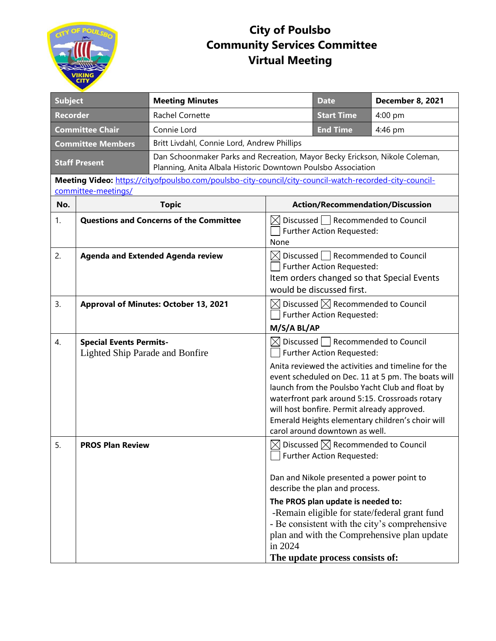

## **City of Poulsbo Community Services Committee Virtual Meeting**

| <b>Subject</b>                                                                                                                 |                                                                   | <b>Meeting Minutes</b>                                                                                                                      |                                                                                                                                               | <b>Date</b>                                                                      | December 8, 2021                                                                                                                                                                                                                                                  |  |  |
|--------------------------------------------------------------------------------------------------------------------------------|-------------------------------------------------------------------|---------------------------------------------------------------------------------------------------------------------------------------------|-----------------------------------------------------------------------------------------------------------------------------------------------|----------------------------------------------------------------------------------|-------------------------------------------------------------------------------------------------------------------------------------------------------------------------------------------------------------------------------------------------------------------|--|--|
| <b>Recorder</b>                                                                                                                |                                                                   | Rachel Cornette                                                                                                                             |                                                                                                                                               | <b>Start Time</b>                                                                | 4:00 pm                                                                                                                                                                                                                                                           |  |  |
| <b>Committee Chair</b>                                                                                                         |                                                                   | Connie Lord                                                                                                                                 |                                                                                                                                               | <b>End Time</b>                                                                  | 4:46 pm                                                                                                                                                                                                                                                           |  |  |
| <b>Committee Members</b>                                                                                                       |                                                                   | Britt Livdahl, Connie Lord, Andrew Phillips                                                                                                 |                                                                                                                                               |                                                                                  |                                                                                                                                                                                                                                                                   |  |  |
| <b>Staff Present</b>                                                                                                           |                                                                   | Dan Schoonmaker Parks and Recreation, Mayor Becky Erickson, Nikole Coleman,<br>Planning, Anita Albala Historic Downtown Poulsbo Association |                                                                                                                                               |                                                                                  |                                                                                                                                                                                                                                                                   |  |  |
| Meeting Video: https://cityofpoulsbo.com/poulsbo-city-council/city-council-watch-recorded-city-council-<br>committee-meetings/ |                                                                   |                                                                                                                                             |                                                                                                                                               |                                                                                  |                                                                                                                                                                                                                                                                   |  |  |
| No.                                                                                                                            |                                                                   | <b>Topic</b>                                                                                                                                |                                                                                                                                               |                                                                                  | <b>Action/Recommendation/Discussion</b>                                                                                                                                                                                                                           |  |  |
| 1.                                                                                                                             | <b>Questions and Concerns of the Committee</b>                    |                                                                                                                                             | Discussed   Recommended to Council<br>IXI<br>Further Action Requested:<br>None                                                                |                                                                                  |                                                                                                                                                                                                                                                                   |  |  |
| 2.                                                                                                                             | <b>Agenda and Extended Agenda review</b>                          |                                                                                                                                             | Discussed Recommended to Council<br>⊠<br>Further Action Requested:<br>Item orders changed so that Special Events<br>would be discussed first. |                                                                                  |                                                                                                                                                                                                                                                                   |  |  |
| 3.                                                                                                                             | Approval of Minutes: October 13, 2021                             |                                                                                                                                             | Discussed $\boxtimes$ Recommended to Council<br>Further Action Requested:<br>M/S/A BL/AP                                                      |                                                                                  |                                                                                                                                                                                                                                                                   |  |  |
| 4.                                                                                                                             | <b>Special Events Permits-</b><br>Lighted Ship Parade and Bonfire |                                                                                                                                             | $\boxtimes$ Discussed $\Box$ Recommended to Council<br><b>Further Action Requested:</b>                                                       |                                                                                  |                                                                                                                                                                                                                                                                   |  |  |
|                                                                                                                                |                                                                   |                                                                                                                                             |                                                                                                                                               | will host bonfire. Permit already approved.<br>carol around downtown as well.    | Anita reviewed the activities and timeline for the<br>event scheduled on Dec. 11 at 5 pm. The boats will<br>launch from the Poulsbo Yacht Club and float by<br>waterfront park around 5:15. Crossroads rotary<br>Emerald Heights elementary children's choir will |  |  |
| 5.                                                                                                                             | <b>PROS Plan Review</b>                                           |                                                                                                                                             | ⊠                                                                                                                                             | Discussed $\boxtimes$ Recommended to Council<br><b>Further Action Requested:</b> |                                                                                                                                                                                                                                                                   |  |  |
|                                                                                                                                |                                                                   |                                                                                                                                             |                                                                                                                                               | Dan and Nikole presented a power point to<br>describe the plan and process.      |                                                                                                                                                                                                                                                                   |  |  |
|                                                                                                                                |                                                                   |                                                                                                                                             | in 2024                                                                                                                                       | The PROS plan update is needed to:<br>The update process consists of:            | -Remain eligible for state/federal grant fund<br>- Be consistent with the city's comprehensive<br>plan and with the Comprehensive plan update                                                                                                                     |  |  |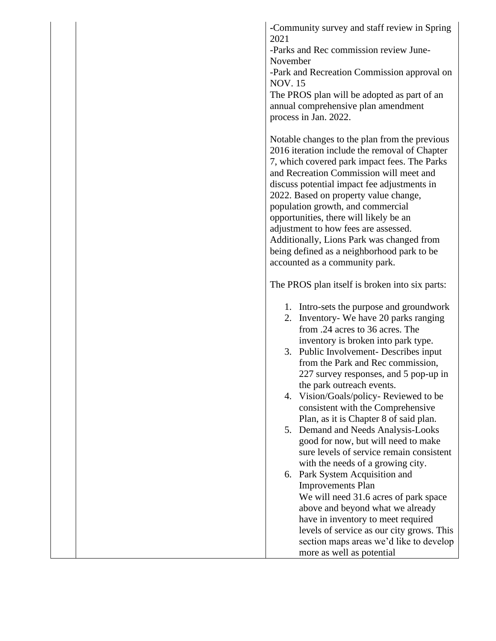**-**Community survey and staff review in Spring 2021

-Parks and Rec commission review June-November

-Park and Recreation Commission approval on NOV. 15

The PROS plan will be adopted as part of an annual comprehensive plan amendment process in Jan. 2022.

Notable changes to the plan from the previous 2016 iteration include the removal of Chapter 7, which covered park impact fees. The Parks and Recreation Commission will meet and discuss potential impact fee adjustments in 2022. Based on property value change, population growth, and commercial opportunities, there will likely be an adjustment to how fees are assessed. Additionally, Lions Park was changed from being defined as a neighborhood park to be accounted as a community park.

The PROS plan itself is broken into six parts:

- 1. Intro-sets the purpose and groundwork
- 2. Inventory- We have 20 parks ranging from .24 acres to 36 acres. The inventory is broken into park type.
- 3. Public Involvement- Describes input from the Park and Rec commission, 227 survey responses, and 5 pop-up in the park outreach events.
- 4. Vision/Goals/policy- Reviewed to be consistent with the Comprehensive Plan, as it is Chapter 8 of said plan.
- 5. Demand and Needs Analysis-Looks good for now, but will need to make sure levels of service remain consistent with the needs of a growing city.
- 6. Park System Acquisition and Improvements Plan We will need 31.6 acres of park space above and beyond what we already have in inventory to meet required levels of service as our city grows. This section maps areas we'd like to develop more as well as potential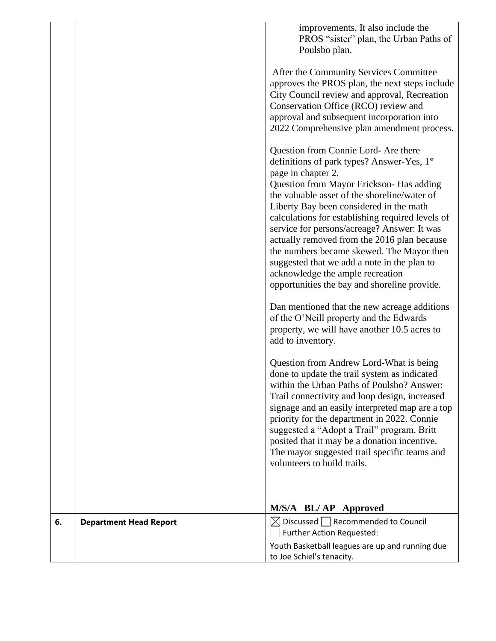|    |                               | improvements. It also include the                                                                                                                                                                                                                                                                                                                                                                                                                                                                                                                                                             |
|----|-------------------------------|-----------------------------------------------------------------------------------------------------------------------------------------------------------------------------------------------------------------------------------------------------------------------------------------------------------------------------------------------------------------------------------------------------------------------------------------------------------------------------------------------------------------------------------------------------------------------------------------------|
|    |                               | PROS "sister" plan, the Urban Paths of<br>Poulsbo plan.                                                                                                                                                                                                                                                                                                                                                                                                                                                                                                                                       |
|    |                               | After the Community Services Committee<br>approves the PROS plan, the next steps include<br>City Council review and approval, Recreation<br>Conservation Office (RCO) review and<br>approval and subsequent incorporation into<br>2022 Comprehensive plan amendment process.                                                                                                                                                                                                                                                                                                                  |
|    |                               | Question from Connie Lord- Are there<br>definitions of park types? Answer-Yes, 1 <sup>st</sup><br>page in chapter 2.<br>Question from Mayor Erickson- Has adding<br>the valuable asset of the shoreline/water of<br>Liberty Bay been considered in the math<br>calculations for establishing required levels of<br>service for persons/acreage? Answer: It was<br>actually removed from the 2016 plan because<br>the numbers became skewed. The Mayor then<br>suggested that we add a note in the plan to<br>acknowledge the ample recreation<br>opportunities the bay and shoreline provide. |
|    |                               | Dan mentioned that the new acreage additions<br>of the O'Neill property and the Edwards<br>property, we will have another 10.5 acres to<br>add to inventory.                                                                                                                                                                                                                                                                                                                                                                                                                                  |
|    |                               | Question from Andrew Lord-What is being<br>done to update the trail system as indicated<br>within the Urban Paths of Poulsbo? Answer:<br>Trail connectivity and loop design, increased<br>signage and an easily interpreted map are a top<br>priority for the department in 2022. Connie<br>suggested a "Adopt a Trail" program. Britt<br>posited that it may be a donation incentive.<br>The mayor suggested trail specific teams and<br>volunteers to build trails.                                                                                                                         |
|    |                               | M/S/A BL/ AP Approved                                                                                                                                                                                                                                                                                                                                                                                                                                                                                                                                                                         |
| 6. | <b>Department Head Report</b> | $\boxtimes$ Discussed $\Box$ Recommended to Council<br>Further Action Requested:                                                                                                                                                                                                                                                                                                                                                                                                                                                                                                              |
|    |                               | Youth Basketball leagues are up and running due<br>to Joe Schiel's tenacity.                                                                                                                                                                                                                                                                                                                                                                                                                                                                                                                  |